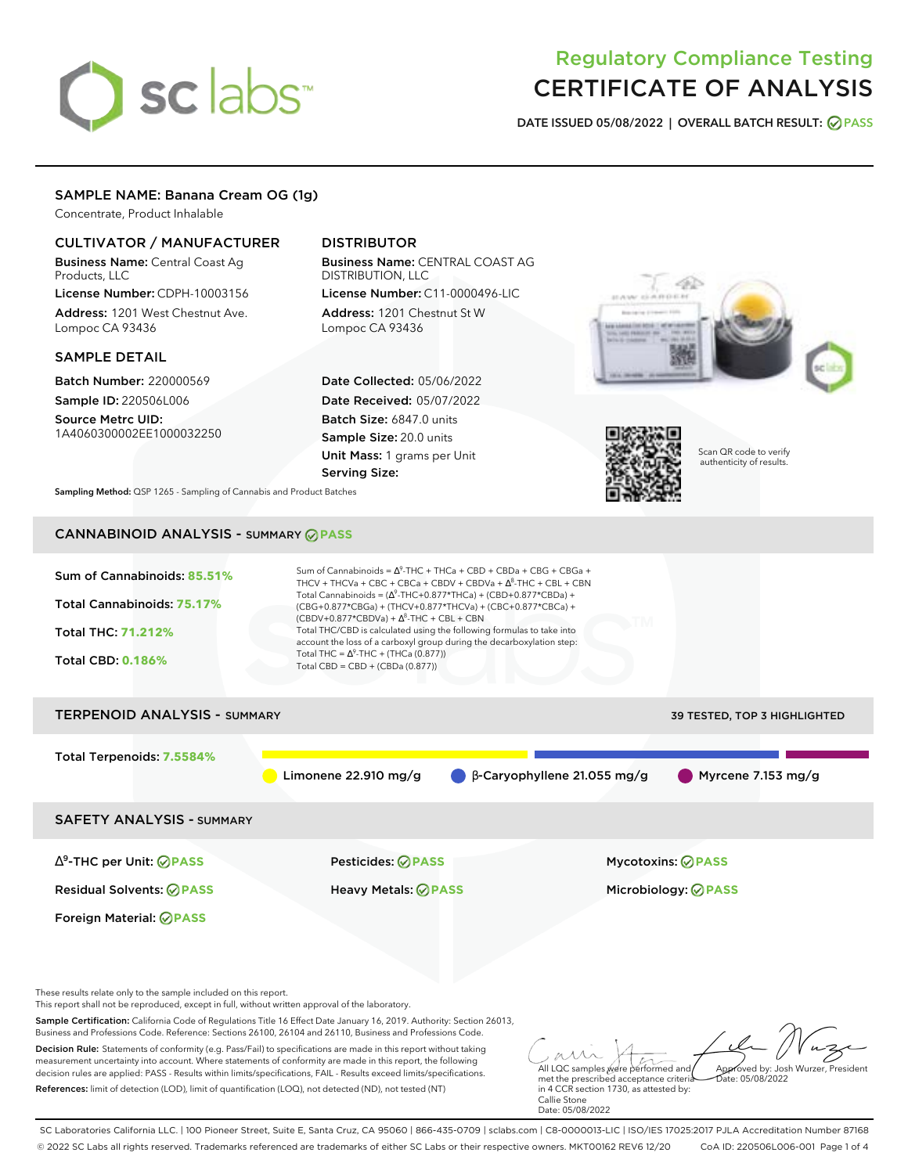# sclabs<sup>\*</sup>

# Regulatory Compliance Testing CERTIFICATE OF ANALYSIS

**DATE ISSUED 05/08/2022 | OVERALL BATCH RESULT: PASS**

# SAMPLE NAME: Banana Cream OG (1g)

Concentrate, Product Inhalable

# CULTIVATOR / MANUFACTURER

Business Name: Central Coast Ag Products, LLC

License Number: CDPH-10003156 Address: 1201 West Chestnut Ave. Lompoc CA 93436

# SAMPLE DETAIL

Batch Number: 220000569 Sample ID: 220506L006

Source Metrc UID: 1A4060300002EE1000032250

# DISTRIBUTOR

Business Name: CENTRAL COAST AG DISTRIBUTION, LLC License Number: C11-0000496-LIC

Address: 1201 Chestnut St W Lompoc CA 93436

Date Collected: 05/06/2022 Date Received: 05/07/2022 Batch Size: 6847.0 units Sample Size: 20.0 units Unit Mass: 1 grams per Unit Serving Size:





Scan QR code to verify authenticity of results.

**Sampling Method:** QSP 1265 - Sampling of Cannabis and Product Batches

# CANNABINOID ANALYSIS - SUMMARY **PASS**



These results relate only to the sample included on this report.

This report shall not be reproduced, except in full, without written approval of the laboratory.

Sample Certification: California Code of Regulations Title 16 Effect Date January 16, 2019. Authority: Section 26013, Business and Professions Code. Reference: Sections 26100, 26104 and 26110, Business and Professions Code.

Decision Rule: Statements of conformity (e.g. Pass/Fail) to specifications are made in this report without taking measurement uncertainty into account. Where statements of conformity are made in this report, the following decision rules are applied: PASS - Results within limits/specifications, FAIL - Results exceed limits/specifications. References: limit of detection (LOD), limit of quantification (LOQ), not detected (ND), not tested (NT)

All LQC samples were performed and met the prescribed acceptance criteria Approved by: Josh Wurzer, President  $ate: 05/08/2022$ 

in 4 CCR section 1730, as attested by: Callie Stone Date: 05/08/2022

SC Laboratories California LLC. | 100 Pioneer Street, Suite E, Santa Cruz, CA 95060 | 866-435-0709 | sclabs.com | C8-0000013-LIC | ISO/IES 17025:2017 PJLA Accreditation Number 87168 © 2022 SC Labs all rights reserved. Trademarks referenced are trademarks of either SC Labs or their respective owners. MKT00162 REV6 12/20 CoA ID: 220506L006-001 Page 1 of 4